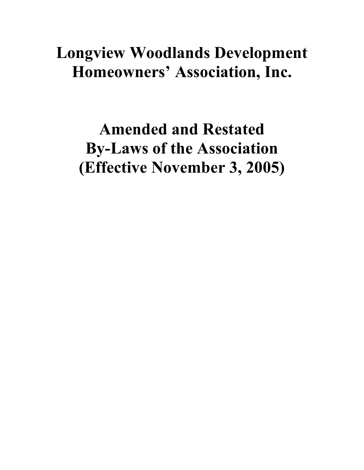# **Longview Woodlands Development Homeowners' Association, Inc.**

**Amended and Restated By-Laws of the Association (Effective November 3, 2005)**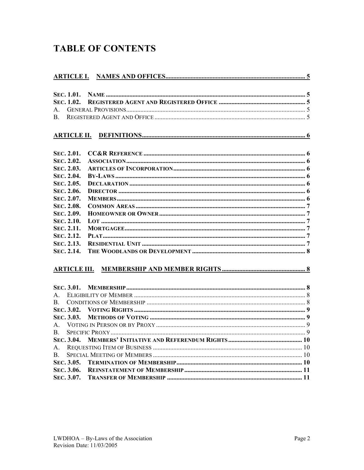# **TABLE OF CONTENTS**

| SEC. 1.01.          |  |
|---------------------|--|
| SEC. 1.02.          |  |
| $A_{-}$             |  |
| $B_{-}$             |  |
| <b>ARTICLE II.</b>  |  |
| SEC. 2.01.          |  |
| SEC. 2.02.          |  |
| SEC. 2.03.          |  |
| SEC. 2.04.          |  |
| SEC. 2.05.          |  |
| SEC. 2.06.          |  |
| SEC. 2.07.          |  |
| SEC. 2.08.          |  |
| SEC. 2.09.          |  |
| SEC. 2.10.          |  |
| SEC. 2.11.          |  |
| SEC. 2.12.          |  |
| SEC. 2.13.          |  |
| SEC. 2.14.          |  |
| <b>ARTICLE III.</b> |  |
| SEC. 3.01.          |  |
| $\mathsf{A}$        |  |
| B.                  |  |
| SEC. 3.02.          |  |
| SEC. 3.03.          |  |
| $A_{-}$             |  |
| B.                  |  |
| SEC. 3.04.          |  |
| $A_{\cdot}$         |  |
| B.                  |  |
| SEC. 3.05.          |  |
| SEC. 3.06.          |  |
| SEC. 3.07.          |  |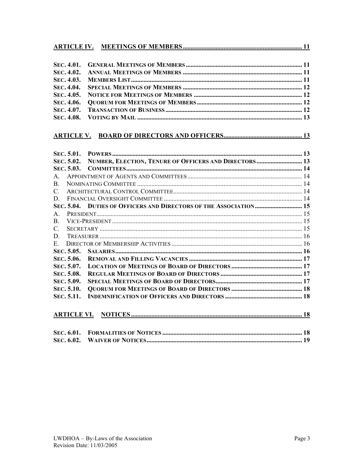#### 

#### 

|               | SEC. 5.02.         | NUMBER, ELECTION, TENURE OF OFFICERS AND DIRECTORS  13 |  |
|---------------|--------------------|--------------------------------------------------------|--|
|               |                    |                                                        |  |
| $\mathsf{A}$  |                    |                                                        |  |
| B.            |                    |                                                        |  |
| $\mathcal{C}$ |                    |                                                        |  |
| D.            |                    |                                                        |  |
|               |                    |                                                        |  |
| $A_{\cdot}$   |                    |                                                        |  |
| $\mathbf{B}$  |                    |                                                        |  |
| $\mathcal{C}$ |                    |                                                        |  |
| D.            |                    |                                                        |  |
|               |                    |                                                        |  |
|               |                    |                                                        |  |
|               | SEC. 5.06.         |                                                        |  |
|               | SEC. 5.07.         |                                                        |  |
|               | SEC. 5.08.         |                                                        |  |
|               | SEC. 5.09.         |                                                        |  |
|               | SEC. 5.10.         |                                                        |  |
|               | <b>SEC. 5.11.</b>  |                                                        |  |
|               | <b>ARTICLE VI.</b> |                                                        |  |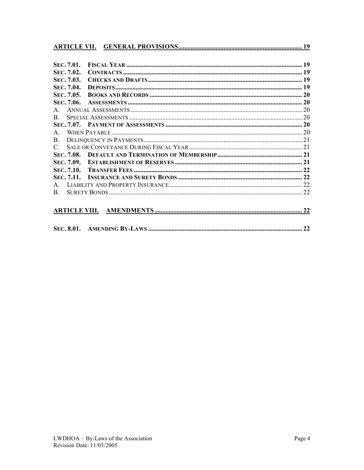| SEC. 7.01.   |  |
|--------------|--|
| SEC. 7.02.   |  |
| SEC. 7.03.   |  |
| SEC. 7.04.   |  |
| SEC. 7.05.   |  |
| SEC. 7.06.   |  |
| $\mathsf{A}$ |  |
| $\mathbf{B}$ |  |
|              |  |
| $\mathbf{A}$ |  |
| $\mathbf{B}$ |  |
|              |  |
|              |  |
|              |  |
|              |  |
|              |  |
|              |  |
| $\mathbf{B}$ |  |
|              |  |
|              |  |
|              |  |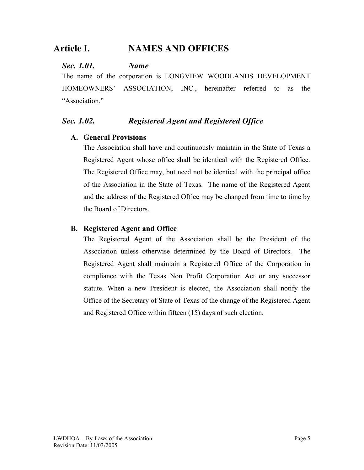# **Article I. NAMES AND OFFICES**

#### *Sec. 1.01. Name*

The name of the corporation is LONGVIEW WOODLANDS DEVELOPMENT HOMEOWNERS' ASSOCIATION, INC., hereinafter referred to as the "Association"

## *Sec. 1.02. Registered Agent and Registered Office*

#### **A. General Provisions**

The Association shall have and continuously maintain in the State of Texas a Registered Agent whose office shall be identical with the Registered Office. The Registered Office may, but need not be identical with the principal office of the Association in the State of Texas. The name of the Registered Agent and the address of the Registered Office may be changed from time to time by the Board of Directors.

#### **B. Registered Agent and Office**

The Registered Agent of the Association shall be the President of the Association unless otherwise determined by the Board of Directors. The Registered Agent shall maintain a Registered Office of the Corporation in compliance with the Texas Non Profit Corporation Act or any successor statute. When a new President is elected, the Association shall notify the Office of the Secretary of State of Texas of the change of the Registered Agent and Registered Office within fifteen (15) days of such election.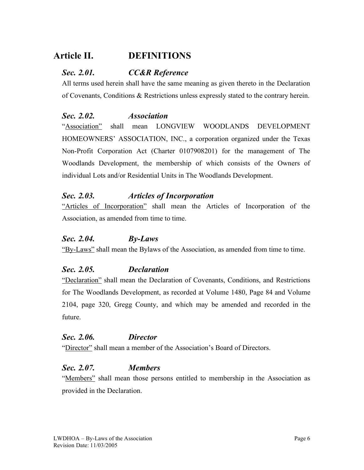# **Article II. DEFINITIONS**

## *Sec. 2.01. CC&R Reference*

All terms used herein shall have the same meaning as given thereto in the Declaration of Covenants, Conditions & Restrictions unless expressly stated to the contrary herein.

#### *Sec. 2.02. Association*

"Association" shall mean LONGVIEW WOODLANDS DEVELOPMENT HOMEOWNERS' ASSOCIATION, INC., a corporation organized under the Texas Non-Profit Corporation Act (Charter 0107908201) for the management of The Woodlands Development, the membership of which consists of the Owners of individual Lots and/or Residential Units in The Woodlands Development.

## *Sec. 2.03. Articles of Incorporation*

"Articles of Incorporation" shall mean the Articles of Incorporation of the Association, as amended from time to time.

#### *Sec. 2.04. By-Laws*

"By-Laws" shall mean the Bylaws of the Association, as amended from time to time.

#### *Sec. 2.05. Declaration*

"Declaration" shall mean the Declaration of Covenants, Conditions, and Restrictions for The Woodlands Development, as recorded at Volume 1480, Page 84 and Volume 2104, page 320, Gregg County, and which may be amended and recorded in the future.

#### *Sec. 2.06. Director*

"Director" shall mean a member of the Association's Board of Directors.

#### *Sec. 2.07. Members*

"Members" shall mean those persons entitled to membership in the Association as provided in the Declaration.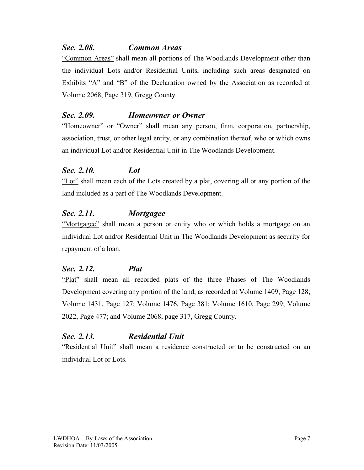#### *Sec. 2.08. Common Areas*

"Common Areas" shall mean all portions of The Woodlands Development other than the individual Lots and/or Residential Units, including such areas designated on Exhibits "A" and "B" of the Declaration owned by the Association as recorded at Volume 2068, Page 319, Gregg County.

## *Sec. 2.09. Homeowner or Owner*

"Homeowner" or "Owner" shall mean any person, firm, corporation, partnership, association, trust, or other legal entity, or any combination thereof, who or which owns an individual Lot and/or Residential Unit in The Woodlands Development.

## *Sec. 2.10. Lot*

"Lot" shall mean each of the Lots created by a plat, covering all or any portion of the land included as a part of The Woodlands Development.

#### *Sec. 2.11. Mortgagee*

"Mortgagee" shall mean a person or entity who or which holds a mortgage on an individual Lot and/or Residential Unit in The Woodlands Development as security for repayment of a loan.

## *Sec. 2.12. Plat*

"Plat" shall mean all recorded plats of the three Phases of The Woodlands Development covering any portion of the land, as recorded at Volume 1409, Page 128; Volume 1431, Page 127; Volume 1476, Page 381; Volume 1610, Page 299; Volume 2022, Page 477; and Volume 2068, page 317, Gregg County.

## *Sec. 2.13. Residential Unit*

"Residential Unit" shall mean a residence constructed or to be constructed on an individual Lot or Lots.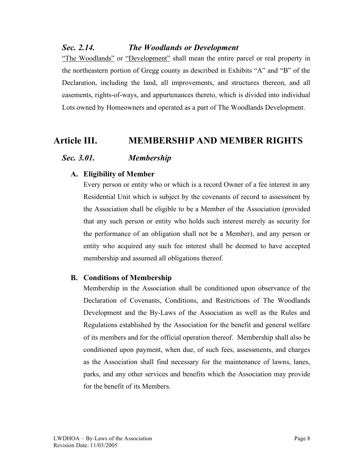#### *Sec. 2.14. The Woodlands or Development*

"The Woodlands" or "Development" shall mean the entire parcel or real property in the northeastern portion of Gregg county as described in Exhibits "A" and "B" of the Declaration, including the land, all improvements, and structures thereon, and all easements, rights-of-ways, and appurtenances thereto, which is divided into individual Lots owned by Homeowners and operated as a part of The Woodlands Development.

## **Article III. MEMBERSHIP AND MEMBER RIGHTS**

#### *Sec. 3.01. Membership*

#### **A. Eligibility of Member**

Every person or entity who or which is a record Owner of a fee interest in any Residential Unit which is subject by the covenants of record to assessment by the Association shall be eligible to be a Member of the Association (provided that any such person or entity who holds such interest merely as security for the performance of an obligation shall not be a Member), and any person or entity who acquired any such fee interest shall be deemed to have accepted membership and assumed all obligations thereof.

#### **B. Conditions of Membership**

Membership in the Association shall be conditioned upon observance of the Declaration of Covenants, Conditions, and Restrictions of The Woodlands Development and the By-Laws of the Association as well as the Rules and Regulations established by the Association for the benefit and general welfare of its members and for the official operation thereof. Membership shall also be conditioned upon payment, when due, of such fees, assessments, and charges as the Association shall find necessary for the maintenance of lawns, lanes, parks, and any other services and benefits which the Association may provide for the benefit of its Members.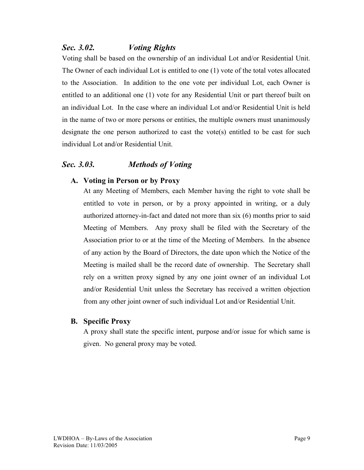## *Sec. 3.02. Voting Rights*

Voting shall be based on the ownership of an individual Lot and/or Residential Unit. The Owner of each individual Lot is entitled to one (1) vote of the total votes allocated to the Association. In addition to the one vote per individual Lot, each Owner is entitled to an additional one (1) vote for any Residential Unit or part thereof built on an individual Lot. In the case where an individual Lot and/or Residential Unit is held in the name of two or more persons or entities, the multiple owners must unanimously designate the one person authorized to cast the vote(s) entitled to be cast for such individual Lot and/or Residential Unit.

## *Sec. 3.03. Methods of Voting*

#### **A. Voting in Person or by Proxy**

At any Meeting of Members, each Member having the right to vote shall be entitled to vote in person, or by a proxy appointed in writing, or a duly authorized attorney-in-fact and dated not more than six (6) months prior to said Meeting of Members. Any proxy shall be filed with the Secretary of the Association prior to or at the time of the Meeting of Members. In the absence of any action by the Board of Directors, the date upon which the Notice of the Meeting is mailed shall be the record date of ownership. The Secretary shall rely on a written proxy signed by any one joint owner of an individual Lot and/or Residential Unit unless the Secretary has received a written objection from any other joint owner of such individual Lot and/or Residential Unit.

#### **B. Specific Proxy**

A proxy shall state the specific intent, purpose and/or issue for which same is given. No general proxy may be voted.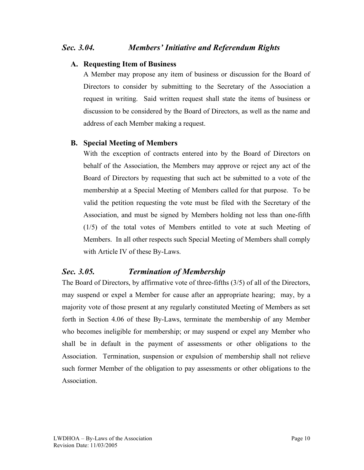#### *Sec. 3.04. Members' Initiative and Referendum Rights*

#### **A. Requesting Item of Business**

A Member may propose any item of business or discussion for the Board of Directors to consider by submitting to the Secretary of the Association a request in writing. Said written request shall state the items of business or discussion to be considered by the Board of Directors, as well as the name and address of each Member making a request.

#### **B. Special Meeting of Members**

With the exception of contracts entered into by the Board of Directors on behalf of the Association, the Members may approve or reject any act of the Board of Directors by requesting that such act be submitted to a vote of the membership at a Special Meeting of Members called for that purpose. To be valid the petition requesting the vote must be filed with the Secretary of the Association, and must be signed by Members holding not less than one-fifth (1/5) of the total votes of Members entitled to vote at such Meeting of Members. In all other respects such Special Meeting of Members shall comply with Article IV of these By-Laws.

## *Sec. 3.05. Termination of Membership*

The Board of Directors, by affirmative vote of three-fifths (3/5) of all of the Directors, may suspend or expel a Member for cause after an appropriate hearing; may, by a majority vote of those present at any regularly constituted Meeting of Members as set forth in Section 4.06 of these By-Laws, terminate the membership of any Member who becomes ineligible for membership; or may suspend or expel any Member who shall be in default in the payment of assessments or other obligations to the Association. Termination, suspension or expulsion of membership shall not relieve such former Member of the obligation to pay assessments or other obligations to the **Association**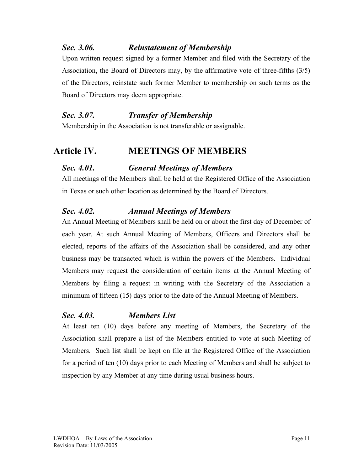## *Sec. 3.06. Reinstatement of Membership*

Upon written request signed by a former Member and filed with the Secretary of the Association, the Board of Directors may, by the affirmative vote of three-fifths (3/5) of the Directors, reinstate such former Member to membership on such terms as the Board of Directors may deem appropriate.

## *Sec. 3.07. Transfer of Membership*

Membership in the Association is not transferable or assignable.

## **Article IV. MEETINGS OF MEMBERS**

## *Sec. 4.01. General Meetings of Members*

All meetings of the Members shall be held at the Registered Office of the Association in Texas or such other location as determined by the Board of Directors.

## *Sec. 4.02. Annual Meetings of Members*

An Annual Meeting of Members shall be held on or about the first day of December of each year. At such Annual Meeting of Members, Officers and Directors shall be elected, reports of the affairs of the Association shall be considered, and any other business may be transacted which is within the powers of the Members. Individual Members may request the consideration of certain items at the Annual Meeting of Members by filing a request in writing with the Secretary of the Association a minimum of fifteen (15) days prior to the date of the Annual Meeting of Members.

#### *Sec. 4.03. Members List*

At least ten (10) days before any meeting of Members, the Secretary of the Association shall prepare a list of the Members entitled to vote at such Meeting of Members. Such list shall be kept on file at the Registered Office of the Association for a period of ten (10) days prior to each Meeting of Members and shall be subject to inspection by any Member at any time during usual business hours.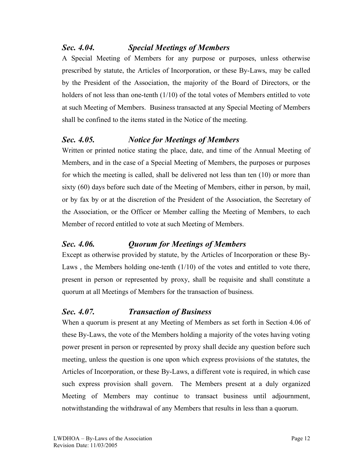## *Sec. 4.04. Special Meetings of Members*

A Special Meeting of Members for any purpose or purposes, unless otherwise prescribed by statute, the Articles of Incorporation, or these By-Laws, may be called by the President of the Association, the majority of the Board of Directors, or the holders of not less than one-tenth (1/10) of the total votes of Members entitled to vote at such Meeting of Members. Business transacted at any Special Meeting of Members shall be confined to the items stated in the Notice of the meeting.

## *Sec. 4.05. Notice for Meetings of Members*

Written or printed notice stating the place, date, and time of the Annual Meeting of Members, and in the case of a Special Meeting of Members, the purposes or purposes for which the meeting is called, shall be delivered not less than ten (10) or more than sixty (60) days before such date of the Meeting of Members, either in person, by mail, or by fax by or at the discretion of the President of the Association, the Secretary of the Association, or the Officer or Member calling the Meeting of Members, to each Member of record entitled to vote at such Meeting of Members.

## *Sec. 4.06. Quorum for Meetings of Members*

Except as otherwise provided by statute, by the Articles of Incorporation or these By-Laws , the Members holding one-tenth (1/10) of the votes and entitled to vote there, present in person or represented by proxy, shall be requisite and shall constitute a quorum at all Meetings of Members for the transaction of business.

## *Sec. 4.07. Transaction of Business*

When a quorum is present at any Meeting of Members as set forth in Section 4.06 of these By-Laws, the vote of the Members holding a majority of the votes having voting power present in person or represented by proxy shall decide any question before such meeting, unless the question is one upon which express provisions of the statutes, the Articles of Incorporation, or these By-Laws, a different vote is required, in which case such express provision shall govern. The Members present at a duly organized Meeting of Members may continue to transact business until adjournment, notwithstanding the withdrawal of any Members that results in less than a quorum.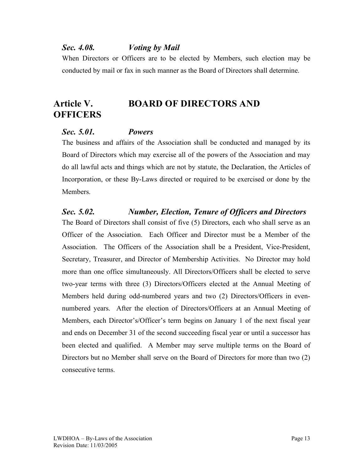#### *Sec. 4.08. Voting by Mail*

When Directors or Officers are to be elected by Members, such election may be conducted by mail or fax in such manner as the Board of Directors shall determine.

# **Article V. BOARD OF DIRECTORS AND OFFICERS**

#### *Sec. 5.01. Powers*

The business and affairs of the Association shall be conducted and managed by its Board of Directors which may exercise all of the powers of the Association and may do all lawful acts and things which are not by statute, the Declaration, the Articles of Incorporation, or these By-Laws directed or required to be exercised or done by the **Members** 

#### *Sec. 5.02. Number, Election, Tenure of Officers and Directors*

The Board of Directors shall consist of five (5) Directors, each who shall serve as an Officer of the Association. Each Officer and Director must be a Member of the Association. The Officers of the Association shall be a President, Vice-President, Secretary, Treasurer, and Director of Membership Activities. No Director may hold more than one office simultaneously. All Directors/Officers shall be elected to serve two-year terms with three (3) Directors/Officers elected at the Annual Meeting of Members held during odd-numbered years and two (2) Directors/Officers in evennumbered years. After the election of Directors/Officers at an Annual Meeting of Members, each Director's/Officer's term begins on January 1 of the next fiscal year and ends on December 31 of the second succeeding fiscal year or until a successor has been elected and qualified. A Member may serve multiple terms on the Board of Directors but no Member shall serve on the Board of Directors for more than two (2) consecutive terms.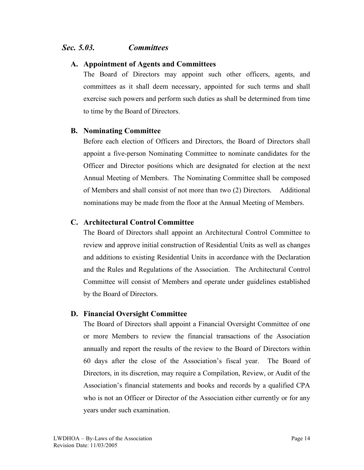#### *Sec. 5.03. Committees*

#### **A. Appointment of Agents and Committees**

The Board of Directors may appoint such other officers, agents, and committees as it shall deem necessary, appointed for such terms and shall exercise such powers and perform such duties as shall be determined from time to time by the Board of Directors.

#### **B. Nominating Committee**

Before each election of Officers and Directors, the Board of Directors shall appoint a five-person Nominating Committee to nominate candidates for the Officer and Director positions which are designated for election at the next Annual Meeting of Members. The Nominating Committee shall be composed of Members and shall consist of not more than two (2) Directors. Additional nominations may be made from the floor at the Annual Meeting of Members.

#### **C. Architectural Control Committee**

The Board of Directors shall appoint an Architectural Control Committee to review and approve initial construction of Residential Units as well as changes and additions to existing Residential Units in accordance with the Declaration and the Rules and Regulations of the Association. The Architectural Control Committee will consist of Members and operate under guidelines established by the Board of Directors.

#### **D. Financial Oversight Committee**

The Board of Directors shall appoint a Financial Oversight Committee of one or more Members to review the financial transactions of the Association annually and report the results of the review to the Board of Directors within 60 days after the close of the Association's fiscal year. The Board of Directors, in its discretion, may require a Compilation, Review, or Audit of the Association's financial statements and books and records by a qualified CPA who is not an Officer or Director of the Association either currently or for any years under such examination.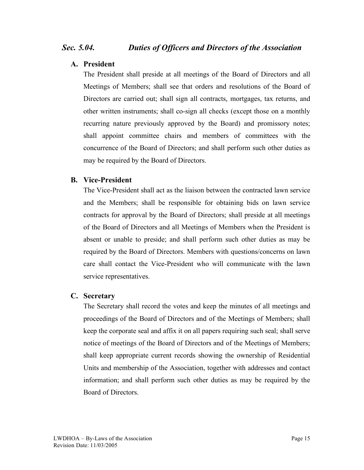#### **A. President**

The President shall preside at all meetings of the Board of Directors and all Meetings of Members; shall see that orders and resolutions of the Board of Directors are carried out; shall sign all contracts, mortgages, tax returns, and other written instruments; shall co-sign all checks (except those on a monthly recurring nature previously approved by the Board) and promissory notes; shall appoint committee chairs and members of committees with the concurrence of the Board of Directors; and shall perform such other duties as may be required by the Board of Directors.

#### **B. Vice-President**

The Vice-President shall act as the liaison between the contracted lawn service and the Members; shall be responsible for obtaining bids on lawn service contracts for approval by the Board of Directors; shall preside at all meetings of the Board of Directors and all Meetings of Members when the President is absent or unable to preside; and shall perform such other duties as may be required by the Board of Directors. Members with questions/concerns on lawn care shall contact the Vice-President who will communicate with the lawn service representatives.

#### **C. Secretary**

The Secretary shall record the votes and keep the minutes of all meetings and proceedings of the Board of Directors and of the Meetings of Members; shall keep the corporate seal and affix it on all papers requiring such seal; shall serve notice of meetings of the Board of Directors and of the Meetings of Members; shall keep appropriate current records showing the ownership of Residential Units and membership of the Association, together with addresses and contact information; and shall perform such other duties as may be required by the Board of Directors.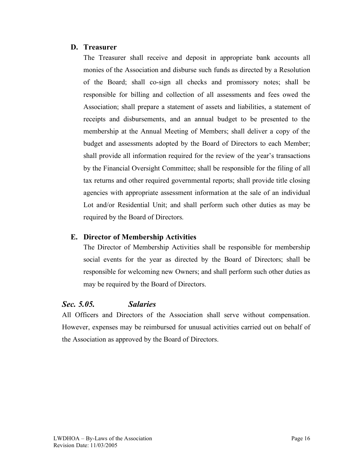#### **D. Treasurer**

The Treasurer shall receive and deposit in appropriate bank accounts all monies of the Association and disburse such funds as directed by a Resolution of the Board; shall co-sign all checks and promissory notes; shall be responsible for billing and collection of all assessments and fees owed the Association; shall prepare a statement of assets and liabilities, a statement of receipts and disbursements, and an annual budget to be presented to the membership at the Annual Meeting of Members; shall deliver a copy of the budget and assessments adopted by the Board of Directors to each Member; shall provide all information required for the review of the year's transactions by the Financial Oversight Committee; shall be responsible for the filing of all tax returns and other required governmental reports; shall provide title closing agencies with appropriate assessment information at the sale of an individual Lot and/or Residential Unit; and shall perform such other duties as may be required by the Board of Directors.

#### **E. Director of Membership Activities**

The Director of Membership Activities shall be responsible for membership social events for the year as directed by the Board of Directors; shall be responsible for welcoming new Owners; and shall perform such other duties as may be required by the Board of Directors.

## *Sec. 5.05. Salaries*

All Officers and Directors of the Association shall serve without compensation. However, expenses may be reimbursed for unusual activities carried out on behalf of the Association as approved by the Board of Directors.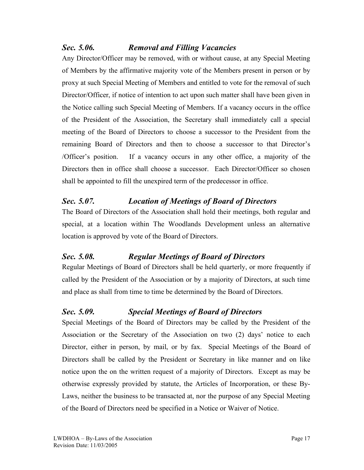## *Sec. 5.06. Removal and Filling Vacancies*

Any Director/Officer may be removed, with or without cause, at any Special Meeting of Members by the affirmative majority vote of the Members present in person or by proxy at such Special Meeting of Members and entitled to vote for the removal of such Director/Officer, if notice of intention to act upon such matter shall have been given in the Notice calling such Special Meeting of Members. If a vacancy occurs in the office of the President of the Association, the Secretary shall immediately call a special meeting of the Board of Directors to choose a successor to the President from the remaining Board of Directors and then to choose a successor to that Director's /Officer's position. If a vacancy occurs in any other office, a majority of the Directors then in office shall choose a successor. Each Director/Officer so chosen shall be appointed to fill the unexpired term of the predecessor in office.

## *Sec. 5.07. Location of Meetings of Board of Directors*

The Board of Directors of the Association shall hold their meetings, both regular and special, at a location within The Woodlands Development unless an alternative location is approved by vote of the Board of Directors.

## *Sec. 5.08. Regular Meetings of Board of Directors*

Regular Meetings of Board of Directors shall be held quarterly, or more frequently if called by the President of the Association or by a majority of Directors, at such time and place as shall from time to time be determined by the Board of Directors.

## *Sec. 5.09. Special Meetings of Board of Directors*

Special Meetings of the Board of Directors may be called by the President of the Association or the Secretary of the Association on two (2) days' notice to each Director, either in person, by mail, or by fax. Special Meetings of the Board of Directors shall be called by the President or Secretary in like manner and on like notice upon the on the written request of a majority of Directors. Except as may be otherwise expressly provided by statute, the Articles of Incorporation, or these By-Laws, neither the business to be transacted at, nor the purpose of any Special Meeting of the Board of Directors need be specified in a Notice or Waiver of Notice.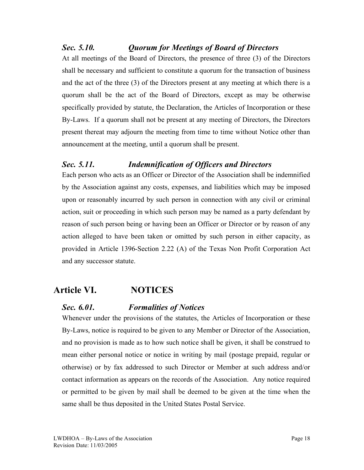## *Sec. 5.10. Quorum for Meetings of Board of Directors*

At all meetings of the Board of Directors, the presence of three (3) of the Directors shall be necessary and sufficient to constitute a quorum for the transaction of business and the act of the three (3) of the Directors present at any meeting at which there is a quorum shall be the act of the Board of Directors, except as may be otherwise specifically provided by statute, the Declaration, the Articles of Incorporation or these By-Laws. If a quorum shall not be present at any meeting of Directors, the Directors present thereat may adjourn the meeting from time to time without Notice other than announcement at the meeting, until a quorum shall be present.

## *Sec. 5.11. Indemnification of Officers and Directors*

Each person who acts as an Officer or Director of the Association shall be indemnified by the Association against any costs, expenses, and liabilities which may be imposed upon or reasonably incurred by such person in connection with any civil or criminal action, suit or proceeding in which such person may be named as a party defendant by reason of such person being or having been an Officer or Director or by reason of any action alleged to have been taken or omitted by such person in either capacity, as provided in Article 1396-Section 2.22 (A) of the Texas Non Profit Corporation Act and any successor statute.

## **Article VI. NOTICES**

## *Sec. 6.01. Formalities of Notices*

Whenever under the provisions of the statutes, the Articles of Incorporation or these By-Laws, notice is required to be given to any Member or Director of the Association, and no provision is made as to how such notice shall be given, it shall be construed to mean either personal notice or notice in writing by mail (postage prepaid, regular or otherwise) or by fax addressed to such Director or Member at such address and/or contact information as appears on the records of the Association. Any notice required or permitted to be given by mail shall be deemed to be given at the time when the same shall be thus deposited in the United States Postal Service.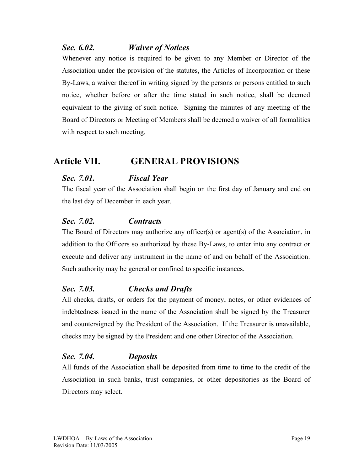## *Sec. 6.02. Waiver of Notices*

Whenever any notice is required to be given to any Member or Director of the Association under the provision of the statutes, the Articles of Incorporation or these By-Laws, a waiver thereof in writing signed by the persons or persons entitled to such notice, whether before or after the time stated in such notice, shall be deemed equivalent to the giving of such notice. Signing the minutes of any meeting of the Board of Directors or Meeting of Members shall be deemed a waiver of all formalities with respect to such meeting.

## **Article VII. GENERAL PROVISIONS**

## *Sec. 7.01. Fiscal Year*

The fiscal year of the Association shall begin on the first day of January and end on the last day of December in each year.

## *Sec. 7.02. Contracts*

The Board of Directors may authorize any officer(s) or agent(s) of the Association, in addition to the Officers so authorized by these By-Laws, to enter into any contract or execute and deliver any instrument in the name of and on behalf of the Association. Such authority may be general or confined to specific instances.

## *Sec. 7.03. Checks and Drafts*

All checks, drafts, or orders for the payment of money, notes, or other evidences of indebtedness issued in the name of the Association shall be signed by the Treasurer and countersigned by the President of the Association. If the Treasurer is unavailable, checks may be signed by the President and one other Director of the Association.

## *Sec. 7.04. Deposits*

All funds of the Association shall be deposited from time to time to the credit of the Association in such banks, trust companies, or other depositories as the Board of Directors may select.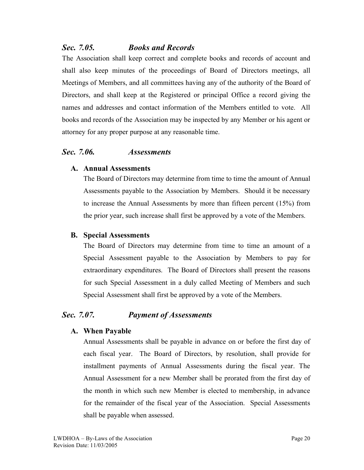## *Sec. 7.05. Books and Records*

The Association shall keep correct and complete books and records of account and shall also keep minutes of the proceedings of Board of Directors meetings, all Meetings of Members, and all committees having any of the authority of the Board of Directors, and shall keep at the Registered or principal Office a record giving the names and addresses and contact information of the Members entitled to vote. All books and records of the Association may be inspected by any Member or his agent or attorney for any proper purpose at any reasonable time.

#### *Sec. 7.06. Assessments*

#### **A. Annual Assessments**

The Board of Directors may determine from time to time the amount of Annual Assessments payable to the Association by Members. Should it be necessary to increase the Annual Assessments by more than fifteen percent (15%) from the prior year, such increase shall first be approved by a vote of the Members.

#### **B. Special Assessments**

The Board of Directors may determine from time to time an amount of a Special Assessment payable to the Association by Members to pay for extraordinary expenditures. The Board of Directors shall present the reasons for such Special Assessment in a duly called Meeting of Members and such Special Assessment shall first be approved by a vote of the Members.

## *Sec. 7.07. Payment of Assessments*

#### **A. When Payable**

Annual Assessments shall be payable in advance on or before the first day of each fiscal year. The Board of Directors, by resolution, shall provide for installment payments of Annual Assessments during the fiscal year. The Annual Assessment for a new Member shall be prorated from the first day of the month in which such new Member is elected to membership, in advance for the remainder of the fiscal year of the Association. Special Assessments shall be payable when assessed.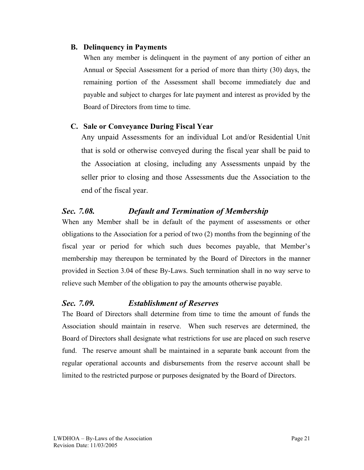#### **B. Delinquency in Payments**

When any member is delinquent in the payment of any portion of either an Annual or Special Assessment for a period of more than thirty (30) days, the remaining portion of the Assessment shall become immediately due and payable and subject to charges for late payment and interest as provided by the Board of Directors from time to time.

#### **C. Sale or Conveyance During Fiscal Year**

Any unpaid Assessments for an individual Lot and/or Residential Unit that is sold or otherwise conveyed during the fiscal year shall be paid to the Association at closing, including any Assessments unpaid by the seller prior to closing and those Assessments due the Association to the end of the fiscal year.

## *Sec. 7.08. Default and Termination of Membership*

When any Member shall be in default of the payment of assessments or other obligations to the Association for a period of two (2) months from the beginning of the fiscal year or period for which such dues becomes payable, that Member's membership may thereupon be terminated by the Board of Directors in the manner provided in Section 3.04 of these By-Laws. Such termination shall in no way serve to relieve such Member of the obligation to pay the amounts otherwise payable.

## *Sec. 7.09. Establishment of Reserves*

The Board of Directors shall determine from time to time the amount of funds the Association should maintain in reserve. When such reserves are determined, the Board of Directors shall designate what restrictions for use are placed on such reserve fund. The reserve amount shall be maintained in a separate bank account from the regular operational accounts and disbursements from the reserve account shall be limited to the restricted purpose or purposes designated by the Board of Directors.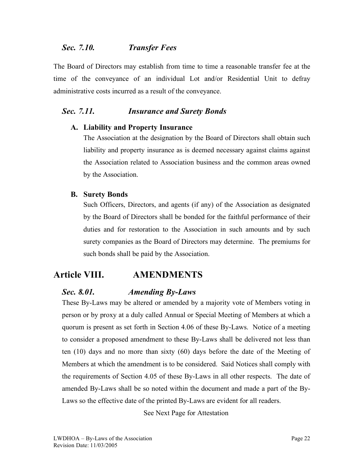#### *Sec. 7.10. Transfer Fees*

The Board of Directors may establish from time to time a reasonable transfer fee at the time of the conveyance of an individual Lot and/or Residential Unit to defray administrative costs incurred as a result of the conveyance.

#### *Sec. 7.11. Insurance and Surety Bonds*

#### **A. Liability and Property Insurance**

The Association at the designation by the Board of Directors shall obtain such liability and property insurance as is deemed necessary against claims against the Association related to Association business and the common areas owned by the Association.

#### **B. Surety Bonds**

Such Officers, Directors, and agents (if any) of the Association as designated by the Board of Directors shall be bonded for the faithful performance of their duties and for restoration to the Association in such amounts and by such surety companies as the Board of Directors may determine. The premiums for such bonds shall be paid by the Association.

## **Article VIII. AMENDMENTS**

## *Sec. 8.01. Amending By-Laws*

These By-Laws may be altered or amended by a majority vote of Members voting in person or by proxy at a duly called Annual or Special Meeting of Members at which a quorum is present as set forth in Section 4.06 of these By-Laws. Notice of a meeting to consider a proposed amendment to these By-Laws shall be delivered not less than ten (10) days and no more than sixty (60) days before the date of the Meeting of Members at which the amendment is to be considered. Said Notices shall comply with the requirements of Section 4.05 of these By-Laws in all other respects. The date of amended By-Laws shall be so noted within the document and made a part of the By-Laws so the effective date of the printed By-Laws are evident for all readers.

See Next Page for Attestation